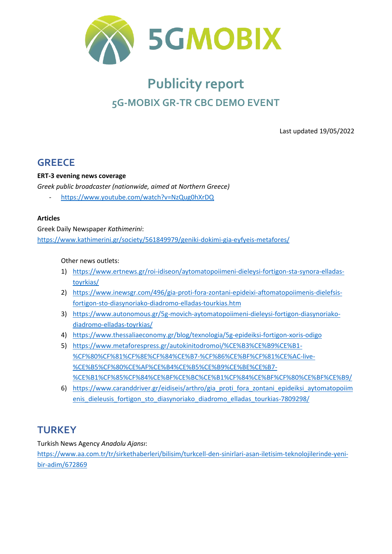

# **Publicity report 5G-MOBIX GR-TR CBC DEMO EVENT**

Last updated 19/05/2022

## **GREECE**

**ERT-3 evening news coverage** 

*Greek public broadcaster (nationwide, aimed at Northern Greece)* 

- <https://www.youtube.com/watch?v=NzQug0hXrDQ>

#### **Articles**

Greek Daily Newspaper *Kathimerini*: <https://www.kathimerini.gr/society/561849979/geniki-dokimi-gia-eyfyeis-metafores/>

#### Other news outlets:

- 1) [https://www.ertnews.gr/roi-idiseon/aytomatopoiimeni-dieleysi-fortigon-sta-synora-elladas](https://www.ertnews.gr/roi-idiseon/aytomatopoiimeni-dieleysi-fortigon-sta-synora-elladas-toyrkias/)[toyrkias/](https://www.ertnews.gr/roi-idiseon/aytomatopoiimeni-dieleysi-fortigon-sta-synora-elladas-toyrkias/)
- 2) [https://www.inewsgr.com/496/gia-proti-fora-zontani-epideixi-aftomatopoiimenis-dielefsis](https://www.inewsgr.com/496/gia-proti-fora-zontani-epideixi-aftomatopoiimenis-dielefsis-fortigon-sto-diasynoriako-diadromo-elladas-tourkias.htm)[fortigon-sto-diasynoriako-diadromo-elladas-tourkias.htm](https://www.inewsgr.com/496/gia-proti-fora-zontani-epideixi-aftomatopoiimenis-dielefsis-fortigon-sto-diasynoriako-diadromo-elladas-tourkias.htm)
- 3) [https://www.autonomous.gr/5g-movich-aytomatopoiimeni-dieleysi-fortigon-diasynoriako](https://www.autonomous.gr/5g-movich-aytomatopoiimeni-dieleysi-fortigon-diasynoriako-diadromo-elladas-toyrkias/)[diadromo-elladas-toyrkias/](https://www.autonomous.gr/5g-movich-aytomatopoiimeni-dieleysi-fortigon-diasynoriako-diadromo-elladas-toyrkias/)
- 4) <https://www.thessaliaeconomy.gr/blog/texnologia/5g-epideiksi-fortigon-xoris-odigo>
- 5) [https://www.metaforespress.gr/autokinitodromoi/%CE%B3%CE%B9%CE%B1-](https://www.metaforespress.gr/autokinitodromoi/%CE%B3%CE%B9%CE%B1-%CF%80%CF%81%CF%8E%CF%84%CE%B7-%CF%86%CE%BF%CF%81%CE%AC-live-%CE%B5%CF%80%CE%AF%CE%B4%CE%B5%CE%B9%CE%BE%CE%B7-%CE%B1%CF%85%CF%84%CE%BF%CE%BC%CE%B1%CF%84%CE%BF%CF%80%CE%BF%CE%B9/) [%CF%80%CF%81%CF%8E%CF%84%CE%B7-%CF%86%CE%BF%CF%81%CE%AC-live-](https://www.metaforespress.gr/autokinitodromoi/%CE%B3%CE%B9%CE%B1-%CF%80%CF%81%CF%8E%CF%84%CE%B7-%CF%86%CE%BF%CF%81%CE%AC-live-%CE%B5%CF%80%CE%AF%CE%B4%CE%B5%CE%B9%CE%BE%CE%B7-%CE%B1%CF%85%CF%84%CE%BF%CE%BC%CE%B1%CF%84%CE%BF%CF%80%CE%BF%CE%B9/) [%CE%B5%CF%80%CE%AF%CE%B4%CE%B5%CE%B9%CE%BE%CE%B7-](https://www.metaforespress.gr/autokinitodromoi/%CE%B3%CE%B9%CE%B1-%CF%80%CF%81%CF%8E%CF%84%CE%B7-%CF%86%CE%BF%CF%81%CE%AC-live-%CE%B5%CF%80%CE%AF%CE%B4%CE%B5%CE%B9%CE%BE%CE%B7-%CE%B1%CF%85%CF%84%CE%BF%CE%BC%CE%B1%CF%84%CE%BF%CF%80%CE%BF%CE%B9/) [%CE%B1%CF%85%CF%84%CE%BF%CE%BC%CE%B1%CF%84%CE%BF%CF%80%CE%BF%CE%B9/](https://www.metaforespress.gr/autokinitodromoi/%CE%B3%CE%B9%CE%B1-%CF%80%CF%81%CF%8E%CF%84%CE%B7-%CF%86%CE%BF%CF%81%CE%AC-live-%CE%B5%CF%80%CE%AF%CE%B4%CE%B5%CE%B9%CE%BE%CE%B7-%CE%B1%CF%85%CF%84%CE%BF%CE%BC%CE%B1%CF%84%CE%BF%CF%80%CE%BF%CE%B9/)
- 6) [https://www.caranddriver.gr/eidiseis/arthro/gia\\_proti\\_fora\\_zontani\\_epideiksi\\_aytomatopoiim](https://www.caranddriver.gr/eidiseis/arthro/gia_proti_fora_zontani_epideiksi_aytomatopoiimenis_dieleusis_fortigon_sto_diasynoriako_diadromo_elladas_tourkias-7809298/) [enis\\_dieleusis\\_fortigon\\_sto\\_diasynoriako\\_diadromo\\_elladas\\_tourkias-7809298/](https://www.caranddriver.gr/eidiseis/arthro/gia_proti_fora_zontani_epideiksi_aytomatopoiimenis_dieleusis_fortigon_sto_diasynoriako_diadromo_elladas_tourkias-7809298/)

# **TURKEY**

Turkish News Agency *Anadolu Ajansı*:

[https://www.aa.com.tr/tr/sirkethaberleri/bilisim/turkcell-den-sinirlari-asan-iletisim-teknolojilerinde-yeni](https://www.aa.com.tr/tr/sirkethaberleri/bilisim/turkcell-den-sinirlari-asan-iletisim-teknolojilerinde-yeni-bir-adim/672869)[bir-adim/672869](https://www.aa.com.tr/tr/sirkethaberleri/bilisim/turkcell-den-sinirlari-asan-iletisim-teknolojilerinde-yeni-bir-adim/672869)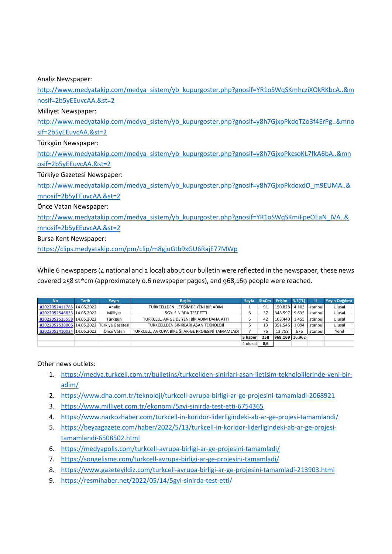Analiz Newspaper:

[http://www.medyatakip.com/medya\\_sistem/yb\\_kupurgoster.php?gnosif=YR1oSWqSKmhcziXOkRKbcA..&m](http://www.medyatakip.com/medya_sistem/yb_kupurgoster.php?gnosif=YR1oSWqSKmhcziXOkRKbcA..&mnosif=2b5yEEuvcAA.&st=2) [nosif=2b5yEEuvcAA.&st=2](http://www.medyatakip.com/medya_sistem/yb_kupurgoster.php?gnosif=YR1oSWqSKmhcziXOkRKbcA..&mnosif=2b5yEEuvcAA.&st=2)

Milliyet Newspaper:

[http://www.medyatakip.com/medya\\_sistem/yb\\_kupurgoster.php?gnosif=y8h7GjxpPkdqTZo3f4ErPg..&mno](http://www.medyatakip.com/medya_sistem/yb_kupurgoster.php?gnosif=y8h7GjxpPkdqTZo3f4ErPg..&mnosif=2b5yEEuvcAA.&st=2) [sif=2b5yEEuvcAA.&st=2](http://www.medyatakip.com/medya_sistem/yb_kupurgoster.php?gnosif=y8h7GjxpPkdqTZo3f4ErPg..&mnosif=2b5yEEuvcAA.&st=2)

Türkgün Newspaper:

[http://www.medyatakip.com/medya\\_sistem/yb\\_kupurgoster.php?gnosif=y8h7GjxpPkcsoKL7fkA6bA..&mn](http://www.medyatakip.com/medya_sistem/yb_kupurgoster.php?gnosif=y8h7GjxpPkcsoKL7fkA6bA..&mnosif=2b5yEEuvcAA.&st=2) [osif=2b5yEEuvcAA.&st=2](http://www.medyatakip.com/medya_sistem/yb_kupurgoster.php?gnosif=y8h7GjxpPkcsoKL7fkA6bA..&mnosif=2b5yEEuvcAA.&st=2)

Türkiye Gazetesi Newspaper:

[http://www.medyatakip.com/medya\\_sistem/yb\\_kupurgoster.php?gnosif=y8h7GjxpPkdoxdO\\_m9EUMA..&](http://www.medyatakip.com/medya_sistem/yb_kupurgoster.php?gnosif=y8h7GjxpPkdoxdO_m9EUMA..&mnosif=2b5yEEuvcAA.&st=2) [mnosif=2b5yEEuvcAA.&st=2](http://www.medyatakip.com/medya_sistem/yb_kupurgoster.php?gnosif=y8h7GjxpPkdoxdO_m9EUMA..&mnosif=2b5yEEuvcAA.&st=2)

Önce Vatan Newspaper:

[http://www.medyatakip.com/medya\\_sistem/yb\\_kupurgoster.php?gnosif=YR1oSWqSKmiFpeOEaN\\_IVA..&](http://www.medyatakip.com/medya_sistem/yb_kupurgoster.php?gnosif=YR1oSWqSKmiFpeOEaN_IVA..&mnosif=2b5yEEuvcAA.&st=2) [mnosif=2b5yEEuvcAA.&st=2](http://www.medyatakip.com/medya_sistem/yb_kupurgoster.php?gnosif=YR1oSWqSKmiFpeOEaN_IVA..&mnosif=2b5yEEuvcAA.&st=2)

Bursa Kent Newspaper:

<https://clips.medyatakip.com/pm/clip/m8gjuGtb9xGU6RajE77MWp>

While 6 newspapers (4 national and 2 local) about our bulletin were reflected in the newspaper, these news

| covered 258 st*cm (approximately 0.6 newspaper pages), and 968,169 people were reached. |                           |              |                  |                                                    |          |              |                |         |                 |                |
|-----------------------------------------------------------------------------------------|---------------------------|--------------|------------------|----------------------------------------------------|----------|--------------|----------------|---------|-----------------|----------------|
|                                                                                         | <b>No</b>                 | <b>Tarih</b> | Yavın            | <b>Baslık</b>                                      | Savfa    | <b>StxCm</b> | Erisim         | R.E(TL) | п               | Yayın Dağılımı |
|                                                                                         | #2022052411785            | 14.05.2022   | Analiz           | TURKCELLDEN İLETİŞİMDE YENİ BİR ADIM               |          | 91           | 150.828        | 4.103   | <b>Istanbul</b> | Ulusal         |
|                                                                                         | #2022052546833            | 14.05.2022   | Milliyet         | 5GYİ SINIRDA TEST ETTİ                             | 6        | 37           | 348.597        | 9.635   | Istanbul        | Ulusal         |
|                                                                                         | #2022052525558 14.05.2022 |              | Türkgün          | TURKCELL, AR-GE DE YENİ BİR ADIM DAHA ATTI         |          | 42           | 103.440        | 1.455   | Istanbul        | Ulusal         |
|                                                                                         | #2022052528006            | 14.05.2022   | Türkiye Gazetesi | TURKCELLDEN SINIRLARI ASAN TEKNOLOJİ               | b        | 13           | 351.546        | 1.094   | İstanbul        | Ulusal         |
|                                                                                         | #2022052410024            | 14.05.2022   | Önce Vatan       | TURKCELL. AVRUPA BİRLİĞİ AR-GE PROJESİNİ TAMAMLADI |          | 75           | 13.758         | 675     | İstanbul        | Yerel          |
|                                                                                         |                           |              |                  |                                                    | 5 haber  | 258          | 968.169 16.962 |         |                 |                |
|                                                                                         |                           |              |                  |                                                    | 4 ulusal | 0,6          |                |         |                 |                |

Other news outlets:

- 1. [https://medya.turkcell.com.tr/bulletins/turkcellden-sinirlari-asan-iletisim-teknolojilerinde-yeni-bir](https://medya.turkcell.com.tr/bulletins/turkcellden-sinirlari-asan-iletisim-teknolojilerinde-yeni-bir-adim/)[adim/](https://medya.turkcell.com.tr/bulletins/turkcellden-sinirlari-asan-iletisim-teknolojilerinde-yeni-bir-adim/)
- 2. <https://www.dha.com.tr/teknoloji/turkcell-avrupa-birligi-ar-ge-projesini-tamamladi-2068921>
- 3. <https://www.milliyet.com.tr/ekonomi/5gyi-sinirda-test-etti-6754365>
- 4. <https://www.narkozhaber.com/turkcell-in-koridor-liderligindeki-ab-ar-ge-projesi-tamamlandi/>
- 5. [https://beyazgazete.com/haber/2022/5/13/turkcell-in-koridor-liderligindeki-ab-ar-ge-projesi](https://beyazgazete.com/haber/2022/5/13/turkcell-in-koridor-liderligindeki-ab-ar-ge-projesi-tamamlandi-6508502.html)[tamamlandi-6508502.html](https://beyazgazete.com/haber/2022/5/13/turkcell-in-koridor-liderligindeki-ab-ar-ge-projesi-tamamlandi-6508502.html)
- 6. <https://medyapolls.com/turkcell-avrupa-birligi-ar-ge-projesini-tamamladi/>
- 7. <https://songelisme.com/turkcell-avrupa-birligi-ar-ge-projesini-tamamladi/>
- 8. <https://www.gazeteyildiz.com/turkcell-avrupa-birligi-ar-ge-projesini-tamamladi-213903.html>
- 9. <https://resmihaber.net/2022/05/14/5gyi-sinirda-test-etti/>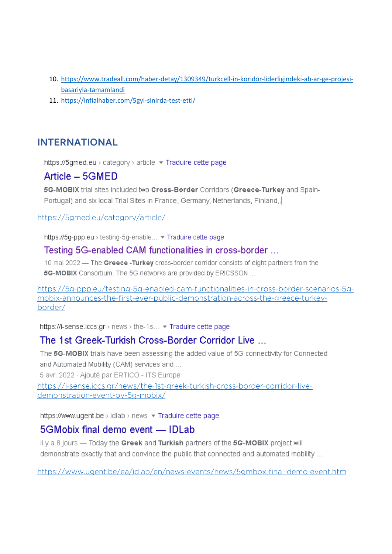- 10. https://www.tradeall.com/haber-detay/1309349/turkcell-in-koridor-liderligindeki-ab-ar-ge-projesibasariyla-tamamlandi
- 11. https://infialhaber.com/5gyi-sinirda-test-etti/

# **INTERNATIONAL**

https://5gmed.eu > category > article ▼ Traduire cette page

## Article - 5GMED

5G-MOBIX trial sites included two Cross-Border Corridors (Greece-Turkey and Spain-Portugal) and six local Trial Sites in France, Germany, Netherlands, Finland,

https://5qmed.eu/category/article/

https://5g-ppp.eu > testing-5g-enable... • Traduire cette page

#### Testing 5G-enabled CAM functionalities in cross-border ...

10 mai 2022 - The Greece-Turkey cross-border corridor consists of eight partners from the 5G-MOBIX Consortium. The 5G networks are provided by ERICSSON ...

https://5q-ppp.eu/testing-5q-enabled-cam-functionalities-in-cross-border-scenarios-5qmobix-announces-the-first-ever-public-demonstration-across-the-greece-turkeyborder/

https://i-sense.iccs.gr > news > the-1s... • Traduire cette page

## The 1st Greek-Turkish Cross-Border Corridor Live

The 5G-MOBIX trials have been assessing the added value of 5G connectivity for Connected and Automated Mobility (CAM) services and ...

5 avr. 2022 · Ajouté par ERTICO - ITS Europe

https://i-sense.iccs.gr/news/the-1st-greek-turkish-cross-border-corridor-livedemonstration-event-by-5q-mobix/

https://www.ugent.be > idlab > news = Traduire cette page

#### 5GMobix final demo event - IDLab

il y a 8 jours - Today the Greek and Turkish partners of the 5G-MOBIX project will demonstrate exactly that and convince the public that connected and automated mobility ...

https://www.ugent.be/ea/idlab/en/news-events/news/5gmbox-final-demo-event.htm